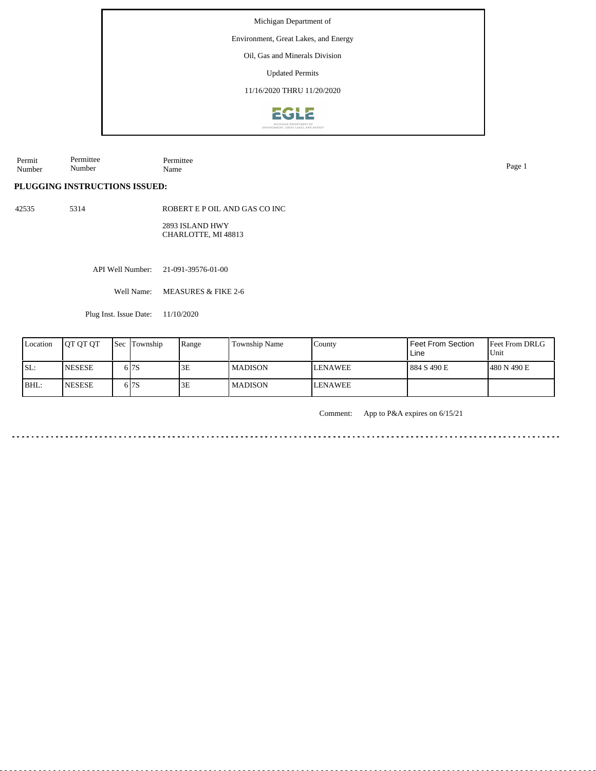Environment, Great Lakes, and Energy

Oil, Gas and Minerals Division

Updated Permits

11/16/2020 THRU 11/20/2020



Permit Number Permittee Number Permittee Name Page 1

 $\mathcal{L}^{\mathcal{A}}\mathcal{L}^{\mathcal{A}}\mathcal{L}^{\mathcal{A}}\mathcal{L}^{\mathcal{A}}\mathcal{L}^{\mathcal{A}}\mathcal{L}^{\mathcal{A}}\mathcal{L}^{\mathcal{A}}$ 

 $\frac{1}{2} \left( \frac{1}{2} \right) \left( \frac{1}{2} \right) \left( \frac{1}{2} \right) \left( \frac{1}{2} \right)$ 

## **PLUGGING INSTRUCTIONS ISSUED:**

42535 5314

ROBERT E P OIL AND GAS CO INC 2893 ISLAND HWY

CHARLOTTE, MI 48813

API Well Number: 21-091-39576-01-00

Well Name: MEASURES & FIKE 2-6

Plug Inst. Issue Date: 11/10/2020

| Location | <b>OT OT OT</b> | <b>Sec Township</b> | Range | Township Name  | County          | l Feet From Section<br>Line | <b>Feet From DRLG</b><br>l Unit |
|----------|-----------------|---------------------|-------|----------------|-----------------|-----------------------------|---------------------------------|
| ISL:     | <b>NESESE</b>   | 6 I 7 S             | 3E    | <b>MADISON</b> | <b>LENAWEE</b>  | l 884 S 490 E               | 1480 N 490 E                    |
| BHL:     | <b>INESESE</b>  | 6 I 7 S             | 3E    | <b>MADISON</b> | <b>ILENAWEE</b> |                             |                                 |

Comment: App to P&A expires on 6/15/21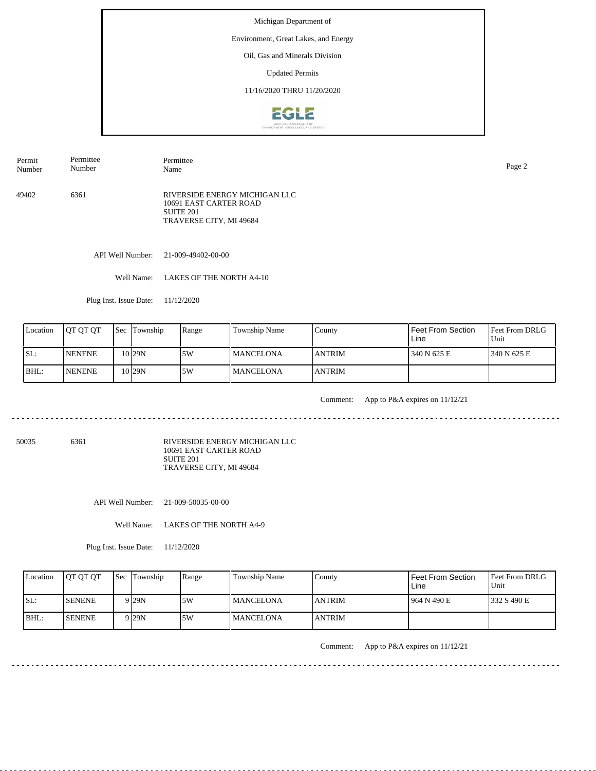## Environment, Great Lakes, and Energy

Oil, Gas and Minerals Division

Updated Permits

11/16/2020 THRU 11/20/2020



Permit Number Permittee Number Permittee Name Page 2

49402 6361 RIVERSIDE ENERGY MICHIGAN LLC 10691 EAST CARTER ROAD SUITE 201 TRAVERSE CITY, MI 49684

API Well Number: 21-009-49402-00-00

Well Name: LAKES OF THE NORTH A4-10

Plug Inst. Issue Date: 11/12/2020

| Location | <b>OT OT OT</b> | <b>Sec Township</b> | Range | Township Name    | County         | <b>Feet From Section</b><br>Line | <b>Feet From DRLG</b><br>Unit |
|----------|-----------------|---------------------|-------|------------------|----------------|----------------------------------|-------------------------------|
| SL:      | <b>INENENE</b>  | 10 <sub>29N</sub>   | 15W   | <b>MANCELONA</b> | <b>ANTRIM</b>  | 340 N 625 E                      | 1340 N 625 E                  |
| BHL:     | <b>INENENE</b>  | 10 <sub>29N</sub>   | .5W   | <b>MANCELONA</b> | <b>JANTRIM</b> |                                  |                               |

<u>. . . . . . . .</u>

Comment: App to P&A expires on 11/12/21

. . . . . . . . . . . . . . . . . . . .

50035 6361

RIVERSIDE ENERGY MICHIGAN LLC 10691 EAST CARTER ROAD SUITE 201 TRAVERSE CITY, MI 49684

API Well Number: 21-009-50035-00-00

Well Name: LAKES OF THE NORTH A4-9

Plug Inst. Issue Date: 11/12/2020

| Location | <b>OT OT OT</b> | <b>Sec</b> Township | Range | Township Name    | County         | Feet From Section<br>Line | Feet From DRLG<br>Unit |
|----------|-----------------|---------------------|-------|------------------|----------------|---------------------------|------------------------|
| ISL:     | <b>ISENENE</b>  | 9 I29N              | 5W    | <b>MANCELONA</b> | <b>ANTRIM</b>  | 1964 N 490 E              | 1332 S 490 E           |
| BHL:     | <b>SENENE</b>   | 9 I29N              | 5W    | <b>MANCELONA</b> | <b>LANTRIM</b> |                           |                        |

Comment: App to P&A expires on 11/12/21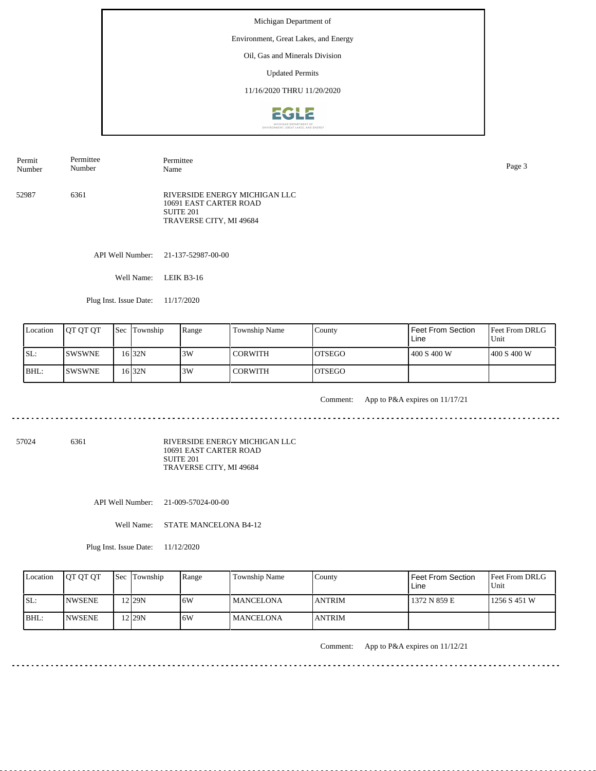## Environment, Great Lakes, and Energy

Oil, Gas and Minerals Division

Updated Permits

11/16/2020 THRU 11/20/2020



52987 6361 RIVERSIDE ENERGY MICHIGAN LLC 10691 EAST CARTER ROAD SUITE 201 TRAVERSE CITY, MI 49684 Permit Number Permittee Number Permittee Name Page 3

API Well Number: 21-137-52987-00-00

Well Name: LEIK B3-16

Plug Inst. Issue Date: 11/17/2020

| Location | <b>OT OT OT</b> | <b>Sec Township</b> | Range | Township Name | County         | Feet From Section<br>Line | <b>Feet From DRLG</b><br>l Unit |
|----------|-----------------|---------------------|-------|---------------|----------------|---------------------------|---------------------------------|
| SL:      | <b>SWSWNE</b>   | 16 32N              | 3W    | I CORWITH     | IOTSEGO        | 400 S 400 W               | 1400 S 400 W                    |
| BHL:     | ISWSWNE         | 16 32 N             | 3W    | l CORWITH     | <b>IOTSEGO</b> |                           |                                 |

<u>. . . . . . . .</u>

Comment: App to P&A expires on 11/17/21

57024 6361

RIVERSIDE ENERGY MICHIGAN LLC 10691 EAST CARTER ROAD SUITE 201 TRAVERSE CITY, MI 49684

API Well Number: 21-009-57024-00-00

Well Name: STATE MANCELONA B4-12

Plug Inst. Issue Date: 11/12/2020

| Location | <b>IOT OT OT</b> | <b>Sec Township</b>  | Range | Township Name    | County        | Feet From Section<br>Line | <b>Feet From DRLG</b><br>Unit |
|----------|------------------|----------------------|-------|------------------|---------------|---------------------------|-------------------------------|
| ISL:     | <b>INWSENE</b>   | $2$ 29N              | 6W    | <b>MANCELONA</b> | <b>ANTRIM</b> | 1372 N 859 E              | 1256 S 451 W                  |
| IBHL:    | <b>INWSENE</b>   | $2$ <sub>129</sub> N | 6W    | <b>MANCELONA</b> | <b>ANTRIM</b> |                           |                               |

Comment: App to P&A expires on 11/12/21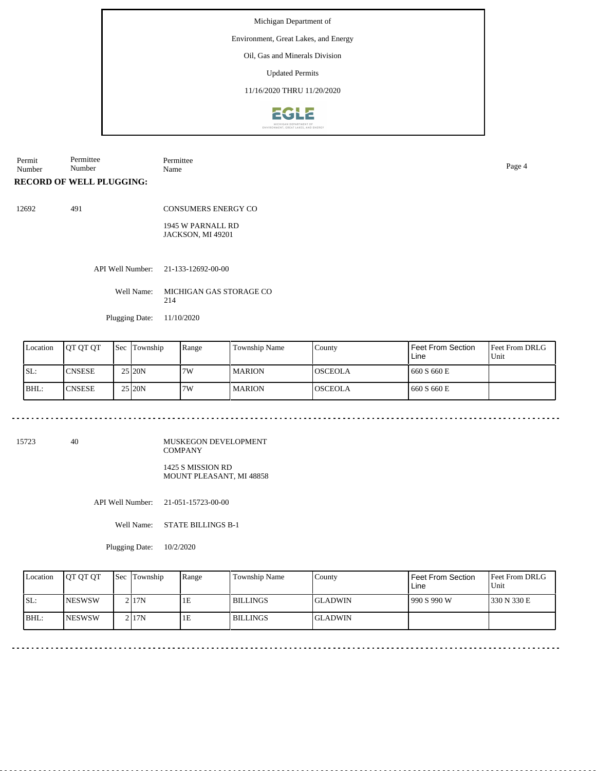## Environment, Great Lakes, and Energy

Oil, Gas and Minerals Division

Updated Permits

11/16/2020 THRU 11/20/2020



Permit Number Permittee Number Permittee Name Page 4

**RECORD OF WELL PLUGGING:**

12692 491

CONSUMERS ENERGY CO

1945 W PARNALL RD JACKSON, MI 49201

API Well Number: 21-133-12692-00-00

Well Name: MICHIGAN GAS STORAGE CO 214

Plugging Date: 11/10/2020

| Location | <b>IOT OT OT</b> | <b>Sec Township</b> | Range | <b>Township Name</b> | County          | Feet From Section<br>Line | Feet From DRLG<br>Unit |
|----------|------------------|---------------------|-------|----------------------|-----------------|---------------------------|------------------------|
| ISL:     | 'CNSESE          | 25 20N              | 7W    | <b>MARION</b>        | <b>IOSCEOLA</b> | 660 S 660 E               |                        |
| BHL:     | <b>CNSESE</b>    | 25 20N              | 7W    | <b>MARION</b>        | <b>OSCEOLA</b>  | 660 S 660 E               |                        |

15723 40

MUSKEGON DEVELOPMENT COMPANY 1425 S MISSION RD MOUNT PLEASANT, MI 48858

API Well Number: 21-051-15723-00-00

Well Name: STATE BILLINGS B-1

Plugging Date: 10/2/2020

| Location | <b>IOT OT OT</b> | <b>Sec</b> Township | Range | <b>Township Name</b> | County          | Feet From Section<br>Line | <b>Feet From DRLG</b><br>Unit |
|----------|------------------|---------------------|-------|----------------------|-----------------|---------------------------|-------------------------------|
| ISL:     | <b>INESWSW</b>   | $2$  17N            | 1E    | <b>BILLINGS</b>      | <b>IGLADWIN</b> | 990 S 990 W               | 1330 N 330 E                  |
| BHL:     | <b>INESWSW</b>   | 2117N               | 1E    | <b>BILLINGS</b>      | <b>IGLADWIN</b> |                           |                               |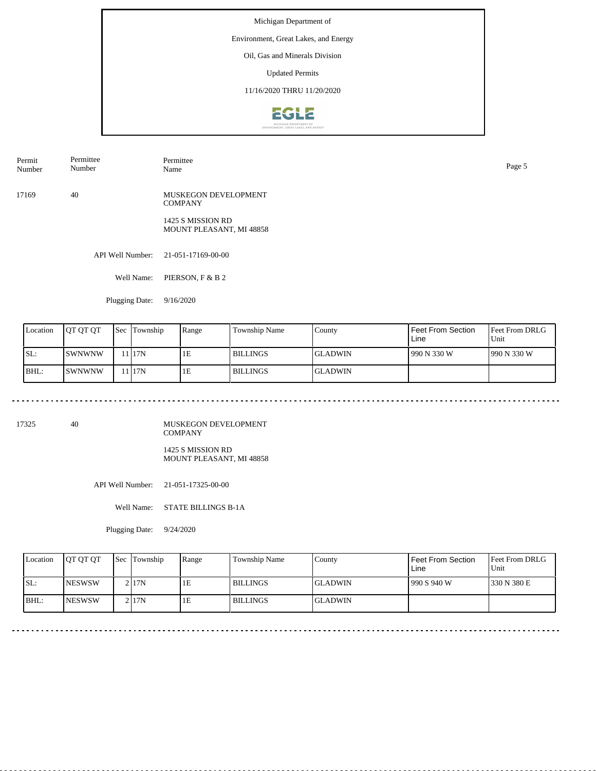## Environment, Great Lakes, and Energy

Oil, Gas and Minerals Division

Updated Permits

11/16/2020 THRU 11/20/2020



Permit Number Permittee Number Permittee Name Page 5

17169 40 MUSKEGON DEVELOPMENT **COMPANY** 

> 1425 S MISSION RD MOUNT PLEASANT, MI 48858

API Well Number: 21-051-17169-00-00

Well Name: PIERSON, F & B 2

Plugging Date: 9/16/2020

| Location | <b>IOT OT OT</b> | l Sec | Township | Range | Township Name | County          | Feet From Section<br>Line | <b>Feet From DRLG</b><br>Unit |
|----------|------------------|-------|----------|-------|---------------|-----------------|---------------------------|-------------------------------|
| SL:      | lswnwnw          |       | 1 I 17 N | 1E    | l BILLINGS    | <b>IGLADWIN</b> | 990 N 330 W               | 1990 N 330 W                  |
| BHL:     | ISWNWNW          |       | l 17N    | 1E    | l BILLINGS    | <b>IGLADWIN</b> |                           |                               |

17325 40

MUSKEGON DEVELOPMENT COMPANY 1425 S MISSION RD

MOUNT PLEASANT, MI 48858

API Well Number: 21-051-17325-00-00

Well Name: STATE BILLINGS B-1A

Plugging Date: 9/24/2020

| Location | <b>IOT OT OT</b> | <b>Sec Township</b> | Range | Township Name   | County          | Feet From Section<br>Line | <b>Feet From DRLG</b><br>Unit |
|----------|------------------|---------------------|-------|-----------------|-----------------|---------------------------|-------------------------------|
| ISL:     | <b>INESWSW</b>   | 2 17N               | 1E    | <b>BILLINGS</b> | <b>IGLADWIN</b> | 990 S 940 W               | 1330 N 380 E                  |
| BHL:     | <b>INESWSW</b>   | 2117N               | 1E    | <b>BILLINGS</b> | <b>GLADWIN</b>  |                           |                               |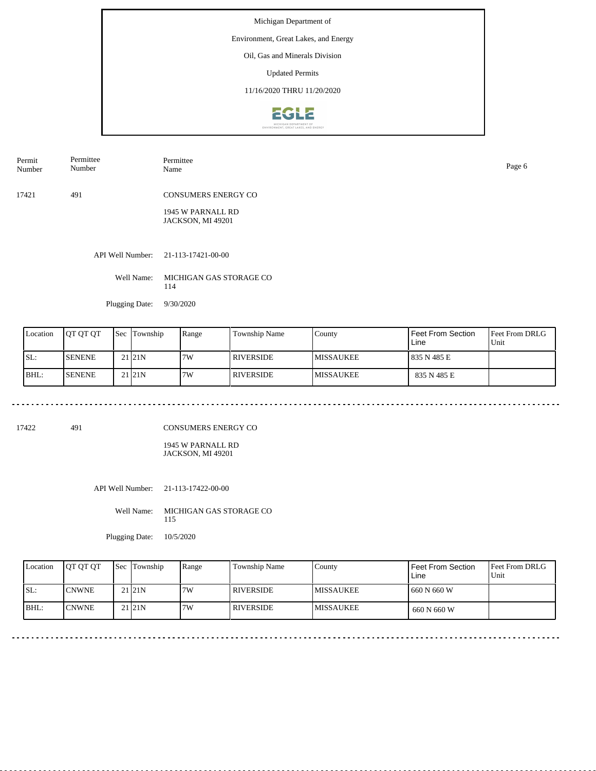## Environment, Great Lakes, and Energy

Oil, Gas and Minerals Division

Updated Permits

11/16/2020 THRU 11/20/2020



| Permit | Permittee | Permittee                  | Page 6 |
|--------|-----------|----------------------------|--------|
| Number | Number    | Name                       |        |
| 17421  | 491       | <b>CONSUMERS ENERGY CO</b> |        |

1945 W PARNALL RD JACKSON, MI 49201

API Well Number: 21-113-17421-00-00

Well Name: MICHIGAN GAS STORAGE CO 114

Plugging Date: 9/30/2020

| Location | <b>IOT OT OT</b> | <b>Sec</b> Township | Range | <b>Township Name</b> | County            | Feet From Section<br>Line | <b>Feet From DRLG</b><br>Unit |
|----------|------------------|---------------------|-------|----------------------|-------------------|---------------------------|-------------------------------|
| ISL:     | <b>ISENENE</b>   | 21 21N              | 7W    | I RIVERSIDE          | <b>IMISSAUKEE</b> | 835 N 485 E               |                               |
| BHL:     | <b>ISENENE</b>   | 21 21N              | 7W    | I RIVERSIDE.         | <b>IMISSAUKEE</b> | 835 N 485 E               |                               |

17422 491

CONSUMERS ENERGY CO

1945 W PARNALL RD JACKSON, MI 49201

API Well Number: 21-113-17422-00-00

Well Name: MICHIGAN GAS STORAGE CO 115

Plugging Date: 10/5/2020

| Location | <b>IOT OT OT</b> | Sec Township       | Range | Township Name | County            | Feet From Section<br>Line | Feet From DRLG<br>Unit |
|----------|------------------|--------------------|-------|---------------|-------------------|---------------------------|------------------------|
| ISL:     | <b>ICNWNE</b>    | 21 <sub>21</sub> N | 7W    | I RIVERSIDE   | <b>IMISSAUKEE</b> | 1660 N 660 W              |                        |
| BHL:     | <b>ICNWNE</b>    | 21 <sub>21</sub> N | 7W    | I RIVERSIDE   | <b>IMISSAUKEE</b> | 660 N 660 W               |                        |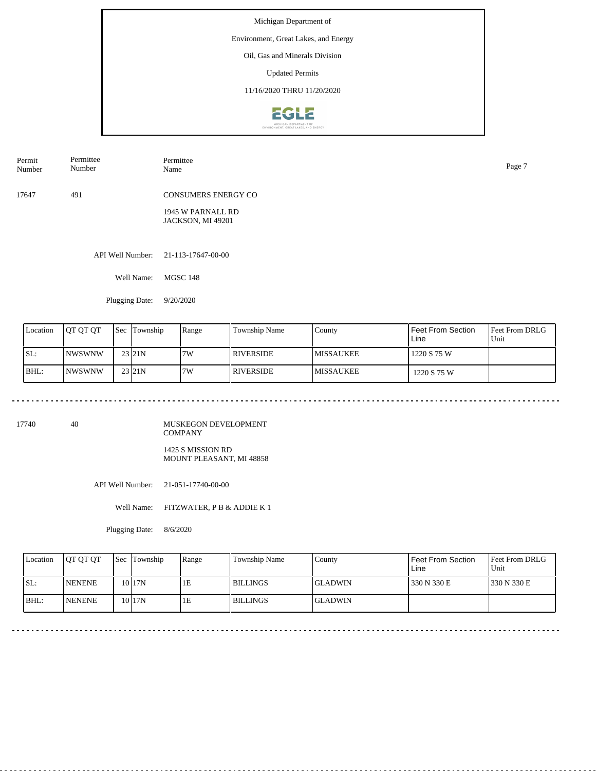## Environment, Great Lakes, and Energy

Oil, Gas and Minerals Division

Updated Permits

11/16/2020 THRU 11/20/2020



| Permit<br>Number | Permittee<br>Number | Permittee<br>Name                      | Page 7 |
|------------------|---------------------|----------------------------------------|--------|
| 17647            | 491                 | <b>CONSUMERS ENERGY CO</b>             |        |
|                  |                     | 1945 W PARNALL RD<br>JACKSON, MI 49201 |        |

API Well Number: 21-113-17647-00-00

Well Name: MGSC 148

Plugging Date: 9/20/2020

| Location | <b>IOT OT OT</b> | Sec | Township              | Range | Township Name    | County            | Feet From Section<br>Line | <b>Feet From DRLG</b><br>Unit |
|----------|------------------|-----|-----------------------|-------|------------------|-------------------|---------------------------|-------------------------------|
| SL:      | <b>INWSWNW</b>   |     | $23$ <sub>121</sub> N | 7W    | <b>RIVERSIDE</b> | <b>IMISSAUKEE</b> | 1220 S 75 W               |                               |
| BHL:     | <b>NWSWNW</b>    |     | 23 21 N               | 7W    | I RIVERSIDE      | <b>IMISSAUKEE</b> | 1220 S 75 W               |                               |

17740 40

MUSKEGON DEVELOPMENT COMPANY 1425 S MISSION RD MOUNT PLEASANT, MI 48858

API Well Number: 21-051-17740-00-00

Well Name: FITZWATER, P B & ADDIE K 1

<u>. . . . . . . . . . . . . .</u>

Plugging Date: 8/6/2020

| Location | <b>IOT OT OT</b> | Sec Township      | Range | Township Name   | County          | Feet From Section<br>Line | <b>Feet From DRLG</b><br>Unit |
|----------|------------------|-------------------|-------|-----------------|-----------------|---------------------------|-------------------------------|
| ISL:     | <b>NENENE</b>    | $10$  17N         | 1E    | <b>BILLINGS</b> | <b>IGLADWIN</b> | 330 N 330 E               | 330 N 330 E                   |
| BHL:     | <b>INENENE</b>   | 10 <sub>17N</sub> | 1Ε    | <b>BILLINGS</b> | <b>IGLADWIN</b> |                           |                               |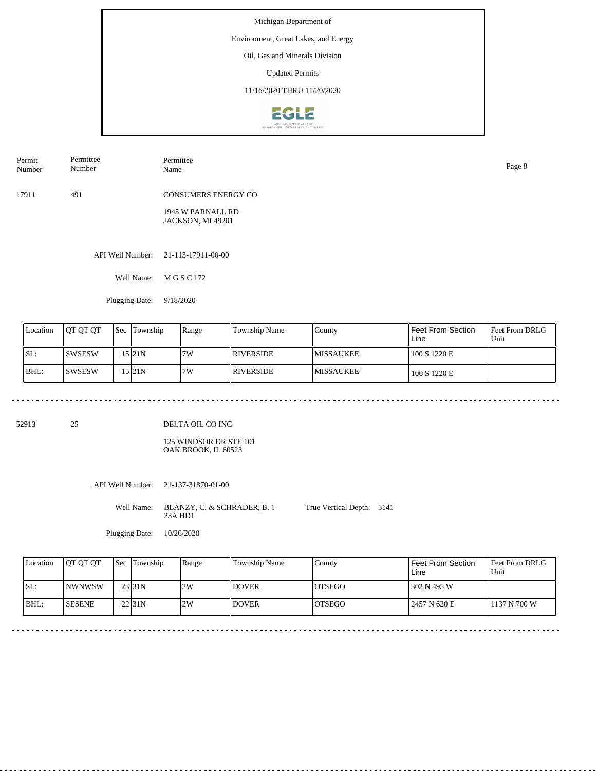## Environment, Great Lakes, and Energy

Oil, Gas and Minerals Division

Updated Permits

11/16/2020 THRU 11/20/2020



| Permit<br>Number | Permittee<br>Number | Permittee<br>Name                      | Page 8 |
|------------------|---------------------|----------------------------------------|--------|
| 17911            | 491                 | <b>CONSUMERS ENERGY CO</b>             |        |
|                  |                     | 1945 W PARNALL RD<br>JACKSON, MI 49201 |        |

API Well Number: 21-113-17911-00-00

Well Name: M G S C 172

Plugging Date: 9/18/2020

| Location | <b>OT OT OT</b> | Sec | Township  | Range | Township Name    | County            | Feet From Section<br>Line | <b>Feet From DRLG</b><br>Unit |
|----------|-----------------|-----|-----------|-------|------------------|-------------------|---------------------------|-------------------------------|
| ISL:     | <b>ISWSESW</b>  |     | 15 I 21 N | 7W    | <b>RIVERSIDE</b> | <b>IMISSAUKEE</b> | 100 S 1220 E              |                               |
| BHL:     | <b>ISWSESW</b>  |     | 15 21N    | 7W    | RIVERSIDE        | <b>IMISSAUKEE</b> | 100 S 1220 E              |                               |

52913 25

DELTA OIL CO INC

125 WINDSOR DR STE 101 OAK BROOK, IL 60523

API Well Number: 21-137-31870-01-00

Well Name: BLANZY, C. & SCHRADER, B. 1-23A HD1 True Vertical Depth: 5141

Plugging Date: 10/26/2020

| Location | <b>IOT OT OT</b> | <b>Sec</b> Township | Range | Township Name | County         | Feet From Section<br>Line | <b>IFeet From DRLG</b><br>Unit |
|----------|------------------|---------------------|-------|---------------|----------------|---------------------------|--------------------------------|
| ISL:     | <b>INWNWSW</b>   | 23 31N              | 2W    | <b>DOVER</b>  | <b>IOTSEGO</b> | 302 N 495 W               |                                |
| BHL:     | <b>SESENE</b>    | 22 <sub>131</sub> N | 2W    | <b>DOVER</b>  | <b>LOTSEGO</b> | 2457 N 620 E              | 1137 N 700 W                   |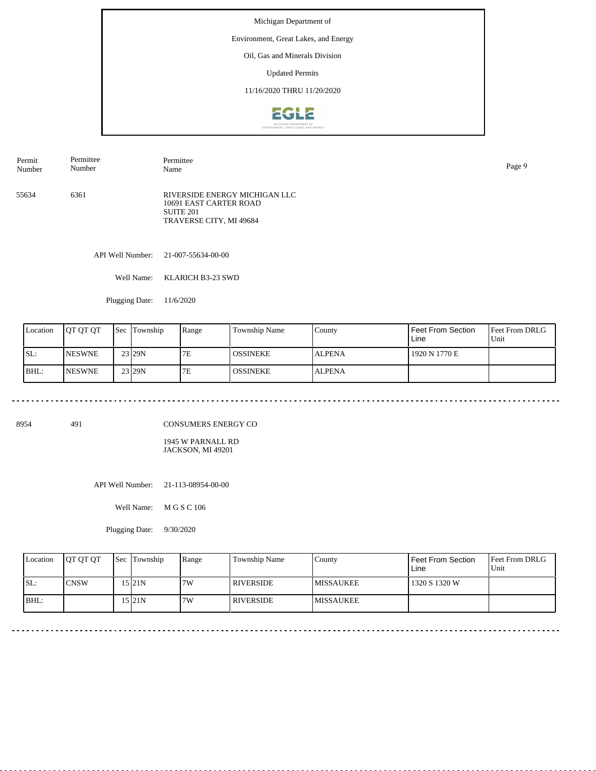## Environment, Great Lakes, and Energy

Oil, Gas and Minerals Division

Updated Permits

11/16/2020 THRU 11/20/2020



| Permit<br>Number | Permittee<br>Number | Permittee<br>Name                                                                               | Page 9 |
|------------------|---------------------|-------------------------------------------------------------------------------------------------|--------|
| 55634            | 6361                | RIVERSIDE ENERGY MICHIGAN LLC<br>10691 EAST CARTER ROAD<br>SUITE 201<br>TRAVERSE CITY, MI 49684 |        |

API Well Number: 21-007-55634-00-00

Well Name: KLARICH B3-23 SWD

Plugging Date: 11/6/2020

<u>. . . . . . . . . . . . . .</u>

| Location | <b>JOT OT OT</b> | <b>Sec Township</b> | Range | Township Name    | County        | Feet From Section<br>Line | <b>Feet From DRLG</b><br>Unit |
|----------|------------------|---------------------|-------|------------------|---------------|---------------------------|-------------------------------|
| ISL:     | <b>INESWNE</b>   | 23 29N              | 7E    | <b>LOSSINEKE</b> | <b>ALPENA</b> | 1920 N 1770 E             |                               |
| IBHL:    | <b>INESWNE</b>   | 23 29 N             | 7E    | <b>OSSINEKE</b>  | <b>ALPENA</b> |                           |                               |

8954 491

CONSUMERS ENERGY CO

1945 W PARNALL RD JACKSON, MI 49201

API Well Number: 21-113-08954-00-00

Well Name: M G S C 106

Plugging Date: 9/30/2020

| Location | <b>OT OT OT</b> | Sec Township | Range | <b>Township Name</b> | County            | l Feet From Section<br>Line | <b>Feet From DRLG</b><br>l Unit |
|----------|-----------------|--------------|-------|----------------------|-------------------|-----------------------------|---------------------------------|
| SL:      | <b>CNSW</b>     | 15 I21 N     | 7W    | I RIVERSIDE          | <b>IMISSAUKEE</b> | 1320 S 1320 W               |                                 |
| BHL:     |                 | 15 I 21 N    | 7W    | I RIVERSIDE          | <b>MISSAUKEE</b>  |                             |                                 |

 $\sim$   $\sim$   $\sim$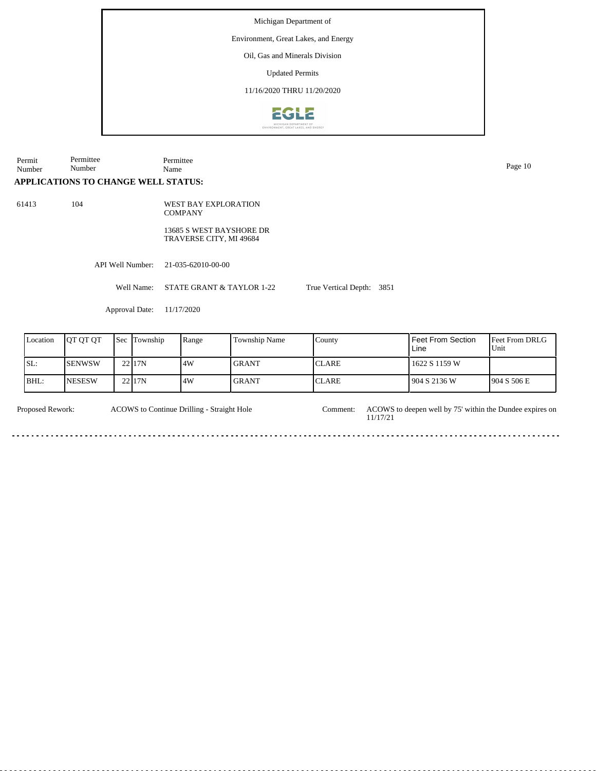Environment, Great Lakes, and Energy

Oil, Gas and Minerals Division

Updated Permits

11/16/2020 THRU 11/20/2020



| Permit<br>Number | Permittee<br>Number                        |     |                  | Permittee<br>Name                                   |                           |                           |                                  |                     |  |  |  |
|------------------|--------------------------------------------|-----|------------------|-----------------------------------------------------|---------------------------|---------------------------|----------------------------------|---------------------|--|--|--|
|                  | <b>APPLICATIONS TO CHANGE WELL STATUS:</b> |     |                  |                                                     |                           |                           |                                  |                     |  |  |  |
| 61413            | 104                                        |     |                  | <b>WEST BAY EXPLORATION</b><br><b>COMPANY</b>       |                           |                           |                                  |                     |  |  |  |
|                  |                                            |     |                  | 13685 S WEST BAYSHORE DR<br>TRAVERSE CITY, MI 49684 |                           |                           |                                  |                     |  |  |  |
|                  |                                            |     | API Well Number: | 21-035-62010-00-00                                  |                           |                           |                                  |                     |  |  |  |
|                  |                                            |     | Well Name:       |                                                     | STATE GRANT & TAYLOR 1-22 | True Vertical Depth: 3851 |                                  |                     |  |  |  |
|                  |                                            |     | Approval Date:   | 11/17/2020                                          |                           |                           |                                  |                     |  |  |  |
| Location         | QT QT QT                                   | Sec | Township         | Range                                               | Township Name             | County                    | <b>Feet From Section</b><br>Line | Feet From D<br>Unit |  |  |  |
| SL:              | <b>SENWSW</b>                              |     | 22 17N           | 4W                                                  | <b>GRANT</b>              | <b>CLARE</b>              | 1622 S 1159 W                    |                     |  |  |  |
| BHL:             | <b>NESESW</b>                              |     | 22 17N           | 4W                                                  | <b>GRANT</b>              | <b>CLARE</b>              | 904 S 2136 W                     | 904 S 506 E         |  |  |  |

ACOWS to Continue Drilling - Straight Hole

Proposed Rework: ACOWS to Continue Drilling - Straight Hole Comment: ACOWS to deepen well by 75' within the Dundee expires on 11/17/21 Comment:

Feet From DRLG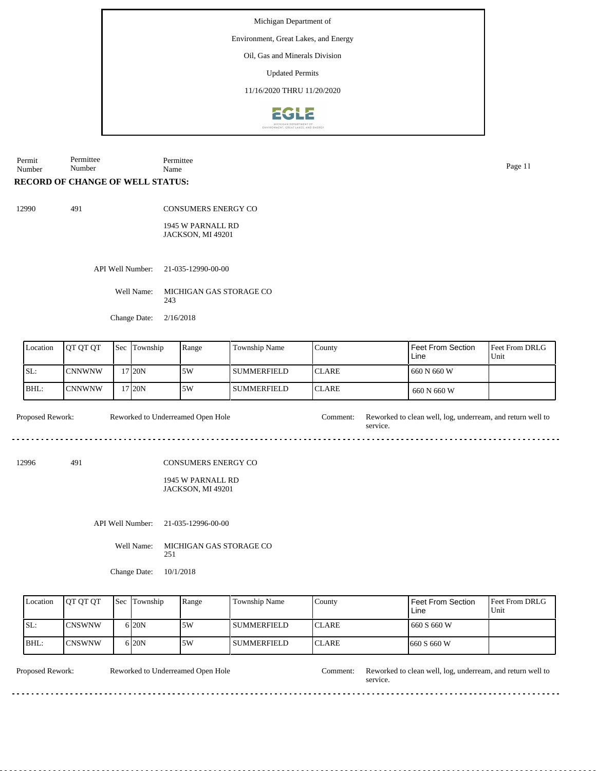Environment, Great Lakes, and Energy

Oil, Gas and Minerals Division

Updated Permits

11/16/2020 THRU 11/20/2020



Permit Number Permittee Number Permittee Name Page 11

# **RECORD OF CHANGE OF WELL STATUS:**

491

| 12990 |
|-------|
|-------|

CONSUMERS ENERGY CO

1945 W PARNALL RD JACKSON, MI 49201

API Well Number: 21-035-12990-00-00

Well Name: MICHIGAN GAS STORAGE CO 243

Change Date: 2/16/2018

| Location | <b>OT OT OT</b> | <b>Sec</b> | Township           | Range | Township Name | County        | Feet From Section<br>Line | <b>Feet From DRLG</b><br>'Unit |
|----------|-----------------|------------|--------------------|-------|---------------|---------------|---------------------------|--------------------------------|
| ISL:     | ICNNWNW         |            | 17 <sub>120N</sub> | 5W    | l summerfield | <b>ICLARE</b> | 1 660 N 660 W             |                                |
| BHL:     | lCNNWNW         |            | 17 20N             | 5W    | SUMMERFIELD   | <b>ICLARE</b> | 660 N 660 W               |                                |

service.

 $- - - -$ 

Proposed Rework: Reworked to Underreamed Open Hole Comment: Reworked to clean well, log, underream, and return well to Reworked to Underreamed Open Hole

12996 491

CONSUMERS ENERGY CO

1945 W PARNALL RD JACKSON, MI 49201

API Well Number: 21-035-12996-00-00

Well Name: MICHIGAN GAS STORAGE CO 251

Change Date: 10/1/2018

| Location | <b>IOT OT OT</b> | <b>Sec Township</b> | Range | Township Name      | Countv        | <b>Feet From Section</b><br>Line | <b>Feet From DRLG</b><br>Unit |
|----------|------------------|---------------------|-------|--------------------|---------------|----------------------------------|-------------------------------|
| ISL:     | <b>ICNSWNW</b>   | 6 20N               | .5W   | l summerfield-     | <b>ICLARE</b> | 1660 S 660 W                     |                               |
| BHL:     | <b>ICNSWNW</b>   | 6 20N               | .5W   | <b>SUMMERFIELD</b> | <b>ICLARE</b> | 1660 S 660 W                     |                               |

Reworked to Underreamed Open Hole

Proposed Rework: Reworked to Underreamed Open Hole Comment: Reworked to clean well, log, underream, and return well to service.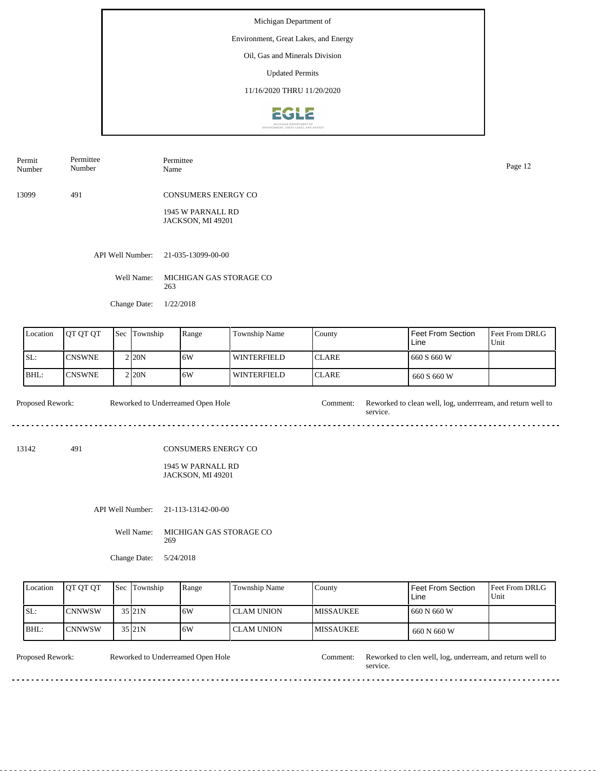## Environment, Great Lakes, and Energy

Oil, Gas and Minerals Division

Updated Permits

11/16/2020 THRU 11/20/2020



| Permittee<br>Permit<br>Number<br>Number |                  | Permittee<br>Name                             | Page 12 |
|-----------------------------------------|------------------|-----------------------------------------------|---------|
| 13099                                   | 491              | <b>CONSUMERS ENERGY CO</b>                    |         |
|                                         |                  | 1945 W PARNALL RD<br><b>JACKSON, MI 49201</b> |         |
|                                         | API Well Number: | 21-035-13099-00-00                            |         |
|                                         | Well Name:       | MICHIGAN GAS STORAGE CO<br>263                |         |
|                                         | Change Date:     | 1/22/2018                                     |         |

| Location | <b>JOT OT OT</b> | <b>Sec</b> | Township           | Range | Township Name      | County        | Feet From Section<br>Line | <b>Feet From DRLG</b><br>Unit |
|----------|------------------|------------|--------------------|-------|--------------------|---------------|---------------------------|-------------------------------|
| ISL:     | <b>ICNSWNE</b>   |            | 2 <sub>120</sub> N | 16W   | WINTERFIELD        | <b>ICLARE</b> | 660 S 660 W               |                               |
| BHL:     | <b>CNSWNE</b>    |            | 2 <sub>20</sub> N  | 16W   | <b>WINTERFIELD</b> | <b>ICLARE</b> | 660 S 660 W               |                               |

Proposed Rework: Reworked to Underreamed Open Hole Comment: Reworked to clean well, log, underrream, and return well to Reworked to Underreamed Open Hole service.  $- - -$ 

13142 491

#### CONSUMERS ENERGY CO

1945 W PARNALL RD JACKSON, MI 49201

API Well Number: 21-113-13142-00-00

Well Name: MICHIGAN GAS STORAGE CO 269

Change Date: 5/24/2018

| Location | <b>IOT OT OT</b> | <b>Sec</b> Township | Range | Township Name | County            | <b>Feet From Section</b><br>Line | <b>Feet From DRLG</b><br>Unit |
|----------|------------------|---------------------|-------|---------------|-------------------|----------------------------------|-------------------------------|
| SL:      | <b>CNNWSW</b>    | 35 21N              | 16W   | l CLAM UNION  | <b>IMISSAUKEE</b> | 660 N 660 W                      |                               |
| BHL:     | ICNNWSW          | 35 21N              | 16W   | I CLAM UNION- | <b>IMISSAUKEE</b> | 660 N 660 W                      |                               |

. . . . . . . . . . .

Reworked to Underreamed Open Hole

<u>odobodob</u>

Proposed Rework: Reworked to Underreamed Open Hole Comment: Reworked to clen well, log, underream, and return well to service.

dia a a a a

 $\frac{1}{2}$  .  $\frac{1}{2}$  .  $\frac{1}{2}$  .  $\frac{1}{2}$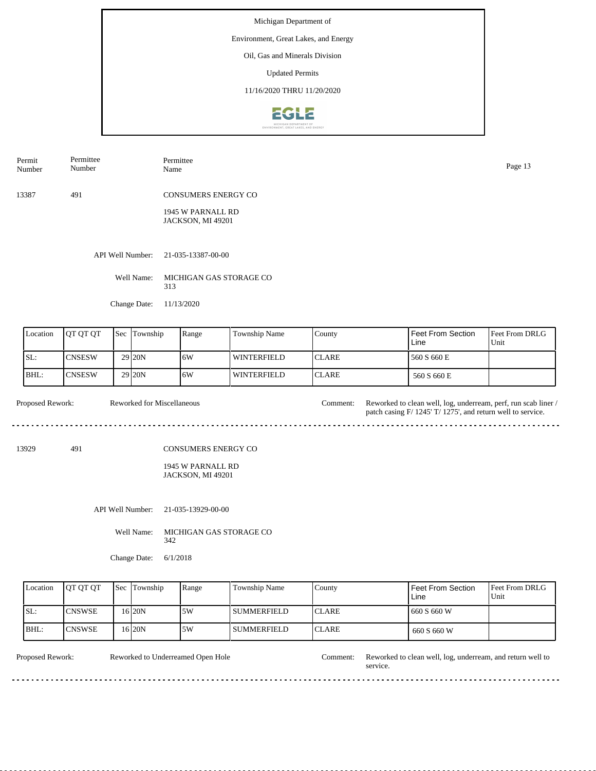## Environment, Great Lakes, and Energy

Oil, Gas and Minerals Division

Updated Permits

11/16/2020 THRU 11/20/2020



| Permit<br>Number | Permittee<br>Number | Permittee<br>Name                      | Page 13 |
|------------------|---------------------|----------------------------------------|---------|
| 13387            | 491                 | <b>CONSUMERS ENERGY CO</b>             |         |
|                  |                     | 1945 W PARNALL RD<br>JACKSON, MI 49201 |         |
|                  |                     | API Well Number: 21-035-13387-00-00    |         |

Well Name: MICHIGAN GAS STORAGE CO 313

Change Date: 11/13/2020

| Location | <b>OT OT OT</b> | <b>Sec Township</b> | Range | Township Name | County        | l Feet From Section<br>Line | <b>Feet From DRLG</b><br>'Unit |
|----------|-----------------|---------------------|-------|---------------|---------------|-----------------------------|--------------------------------|
| SL:      | <b>ICNSESW</b>  | 29 <sub>120</sub> N | 16W   | WINTERFIELD   | <b>ICLARE</b> | 560 S 660 E                 |                                |
| BHL:     | <b>CNSESW</b>   | 29 <sub>120</sub> N | 16W   | l winterfield | <b>ICLARE</b> | 560 S 660 E                 |                                |

| <b>Proposed Rework:</b> | Reworked for Miscellaneous | :omment: | Reworked to clean well, log, underream, perf, run scab liner /<br>patch casing F/ 1245' T/ 1275', and return well to service. |
|-------------------------|----------------------------|----------|-------------------------------------------------------------------------------------------------------------------------------|
|                         |                            |          |                                                                                                                               |

13929 491

#### CONSUMERS ENERGY CO

## 1945 W PARNALL RD JACKSON, MI 49201

API Well Number: 21-035-13929-00-00

Well Name: MICHIGAN GAS STORAGE CO 342

Change Date: 6/1/2018

| Location | <b>IOT OT OT</b> | <b>Sec Township</b> | Range | Township Name  | County        | Feet From Section<br>Line | <b>Feet From DRLG</b><br>Unit |
|----------|------------------|---------------------|-------|----------------|---------------|---------------------------|-------------------------------|
| SL:      | <b>CNSWSE</b>    | 16 I 20 N           | .5W   | I SUMMERFIELD  | <b>ICLARE</b> | 1660 S 660 W              |                               |
| BHL:     | <b>CNSWSE</b>    | 16 I 20 N           | 5W    | l summerfield- | <b>ICLARE</b> | 660 S 660 W               |                               |

. . . . . . . . . . .

Reworked to Underreamed Open Hole

de de dec

Proposed Rework: Reworked to Underreamed Open Hole Comment: Reworked to clean well, log, underream, and return well to service.

 $\sim$   $\sim$   $\sim$ 

 $\overline{a}$  .  $\overline{a}$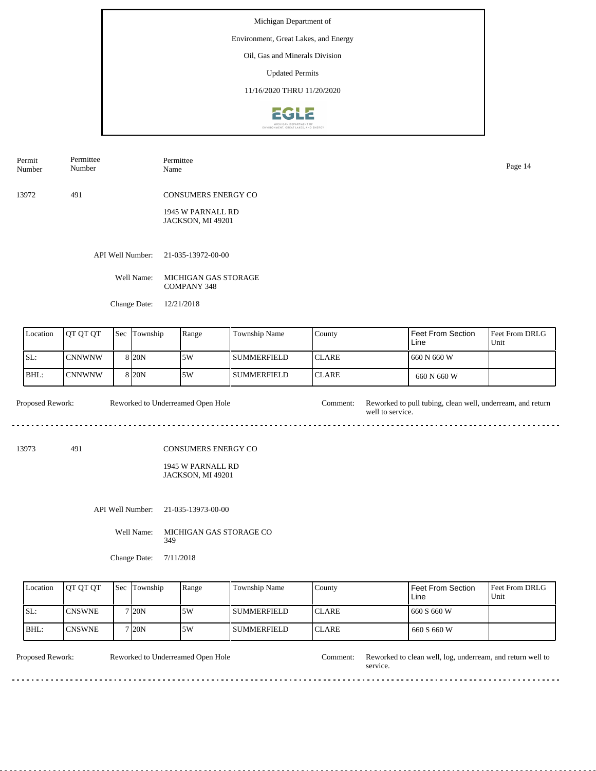## Environment, Great Lakes, and Energy

Oil, Gas and Minerals Division

Updated Permits

11/16/2020 THRU 11/20/2020



| Permit<br>Number | Permittee<br>Number | Permittee<br>Name                      | Page 14 |
|------------------|---------------------|----------------------------------------|---------|
| 13972            | 491                 | <b>CONSUMERS ENERGY CO</b>             |         |
|                  |                     | 1945 W PARNALL RD<br>JACKSON, MI 49201 |         |

API Well Number: 21-035-13972-00-00

Well Name: MICHIGAN GAS STORAGE COMPANY 348

Change Date: 12/21/2018

| Location | <b>IOT OT OT</b> | <b>Sec</b> | Township          | Range | Township Name      | County        | Feet From Section<br>Line | <b>Feet From DRLG</b><br>Unit |
|----------|------------------|------------|-------------------|-------|--------------------|---------------|---------------------------|-------------------------------|
| ISL:     | ICNNWNW          |            | 8 <sub>20</sub> N | 5W    | l summerfield      | <b>ICLARE</b> | 1 660 N 660 W             |                               |
| IBHL:    | CNNWNW           |            | 8 <sub>20</sub> N | 5W    | <b>SUMMERFIELD</b> | <b>ICLARE</b> | 660 N 660 W               |                               |

Proposed Rework: Reworked to Underreamed Open Hole Comment: Reworked to pull tubing, clean well, underream, and return well to service. Reworked to Underreamed Open Hole

13973 491

#### CONSUMERS ENERGY CO

1945 W PARNALL RD JACKSON, MI 49201

API Well Number: 21-035-13973-00-00

Well Name: MICHIGAN GAS STORAGE CO 349

Change Date: 7/11/2018

| Location | <b>IOT OT OT</b> | l Sec | Township          | Range | Township Name | County        | Feet From Section<br>Line | <b>Feet From DRLG</b><br>Unit |
|----------|------------------|-------|-------------------|-------|---------------|---------------|---------------------------|-------------------------------|
| SL:      | <b>CNSWNE</b>    |       | 7120N             | .5W   | l summerfield | <b>ICLARE</b> | 660 S 660 W               |                               |
| BHL:     | <b>ICNSWNE</b>   |       | 7 <sub>20</sub> N | .5W   | l summerfield | <b>ICLARE</b> | 660 S 660 W               |                               |

<u>. . . . . . . . . . .</u>

Reworked to Underreamed Open Hole

<u>odobodob</u>

Proposed Rework: Reworked to Underreamed Open Hole Comment: Reworked to clean well, log, underream, and return well to service.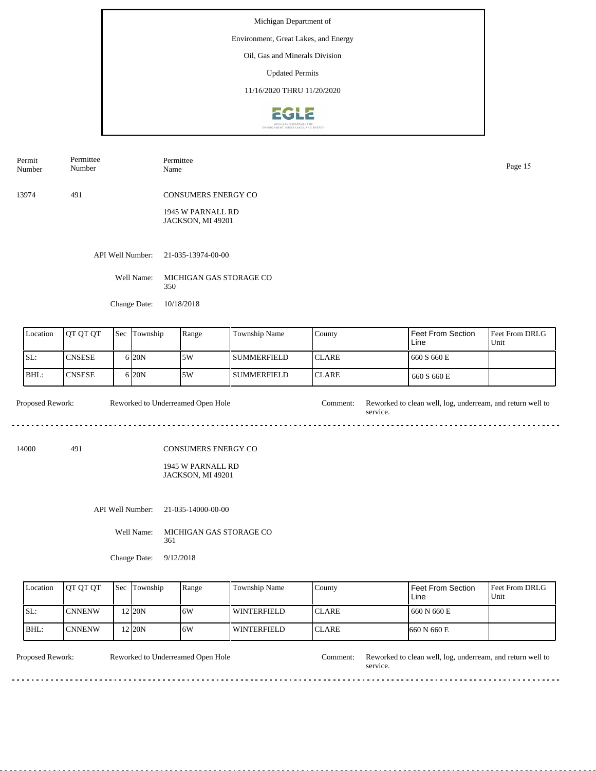## Environment, Great Lakes, and Energy

Oil, Gas and Minerals Division

Updated Permits

11/16/2020 THRU 11/20/2020



| Permit<br>Number | Permittee<br>Number | Permittee<br>Name                      | Page 15 |
|------------------|---------------------|----------------------------------------|---------|
| 13974            | 491                 | <b>CONSUMERS ENERGY CO</b>             |         |
|                  |                     | 1945 W PARNALL RD<br>JACKSON, MI 49201 |         |
|                  | API Well Number:    | 21-035-13974-00-00                     |         |
|                  | Well Name:          | MICHIGAN GAS STORAGE CO<br>350         |         |
|                  | Change Date:        | 10/18/2018                             |         |
|                  |                     |                                        |         |

| Location | <b>IOT OT OT</b> | $\text{Sec}$ | <b>Township</b>   | Range | <b>Township Name</b> | County        | Feet From Section<br>Line | <b>Feet From DRLG</b><br>Unit |
|----------|------------------|--------------|-------------------|-------|----------------------|---------------|---------------------------|-------------------------------|
| SL:      | <b>CNSESE</b>    |              | 6 <sub>20</sub> N | 5W    | l summerfield        | <b>ICLARE</b> | 660 S 660 E               |                               |
| IBHL:    | <b>CNSESE</b>    |              | 6 <sub>20</sub> N | 5W    | l summerfield        | <b>ICLARE</b> | 660 S 660 E               |                               |

Proposed Rework: Reworked to Underreamed Open Hole Comment: Reworked to clean well, log, underream, and return well to Reworked to Underreamed Open Hole service. . . . .

14000 491

#### CONSUMERS ENERGY CO

1945 W PARNALL RD JACKSON, MI 49201

API Well Number: 21-035-14000-00-00

Well Name: MICHIGAN GAS STORAGE CO 361

Change Date: 9/12/2018

| Location | <b>OT OT OT</b> | <b>Sec</b> Township | Range | Township Name      | County        | <b>Feet From Section</b><br>Line | <b>Feet From DRLG</b><br>Unit |
|----------|-----------------|---------------------|-------|--------------------|---------------|----------------------------------|-------------------------------|
| SL:      | <b>CNNENW</b>   | 2 <sub>20</sub> N   | 16W   | l winterfield      | <b>ICLARE</b> | 1660 N 660 E                     |                               |
| BHL:     | <b>ICNNENW</b>  | 2120N               | 16W   | <b>WINTERFIELD</b> | <b>ICLARE</b> | 1660 N 660 E                     |                               |

Reworked to Underreamed Open Hole

<u>o dio dio dio d</u>

Proposed Rework: Reworked to Underreamed Open Hole Comment: Reworked to clean well, log, underream, and return well to service.

 $\overline{a}$  .  $\overline{a}$ 

 $\ddotsc$  $\frac{1}{2}$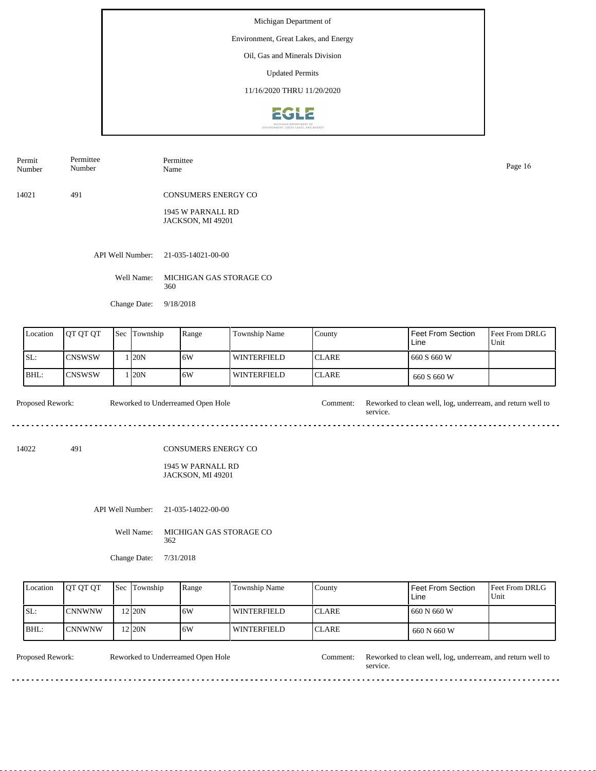## Environment, Great Lakes, and Energy

Oil, Gas and Minerals Division

Updated Permits

11/16/2020 THRU 11/20/2020



| Permittee<br>Permit<br>Number<br>Number |              | Permittee<br>Name                             | Page 16 |
|-----------------------------------------|--------------|-----------------------------------------------|---------|
| 14021                                   | 491          | <b>CONSUMERS ENERGY CO</b>                    |         |
|                                         |              | 1945 W PARNALL RD<br><b>JACKSON, MI 49201</b> |         |
|                                         |              | API Well Number: 21-035-14021-00-00           |         |
|                                         | Well Name:   | MICHIGAN GAS STORAGE CO<br>360                |         |
|                                         | Change Date: | 9/18/2018                                     |         |

| Location | <b>OT OT OT</b> | <b>Sec</b> Township | Range | Township Name | County        | l Feet From Section<br>Line | <b>Feet From DRLG</b><br>Unit |
|----------|-----------------|---------------------|-------|---------------|---------------|-----------------------------|-------------------------------|
| ISL:     | ICNSWSW         | . 120N              | 6W    | WINTERFIELD   | <b>ICLARE</b> | 660 S 660 W                 |                               |
| IBHL:    | <b>ICNSWSW</b>  | 120N                | 16W   | WINTERFIELD   | <b>ICLARE</b> | 660 S 660 W                 |                               |

Proposed Rework: Reworked to Underreamed Open Hole Comment: Reworked to clean well, log, underream, and return well to service. Reworked to Underreamed Open Hole

14022 491

Permit

## CONSUMERS ENERGY CO

1945 W PARNALL RD JACKSON, MI 49201

API Well Number: 21-035-14022-00-00

Well Name: MICHIGAN GAS STORAGE CO 362

Change Date: 7/31/2018

| Location | <b>IOT OT OT</b> | <b>Sec</b> Township | Range | Township Name | County        | Feet From Section<br>Line | <b>Feet From DRLG</b><br>Unit |
|----------|------------------|---------------------|-------|---------------|---------------|---------------------------|-------------------------------|
| SL:      | <b>CNNWNW</b>    | $2$ 20N             | 16W   | l winterfield | <b>ICLARE</b> | 660 N 660 W               |                               |
| BHL:     | ICNNWNW          | 2 <sub>120</sub> N  | 16W   | l winterfield | <b>ICLARE</b> | 660 N 660 W               |                               |

<u>. . . . . . . . .</u>

Reworked to Underreamed Open Hole

<u>o dio dio dio d</u>

Proposed Rework: Reworked to Underreamed Open Hole Comment: Reworked to clean well, log, underream, and return well to service.

 $\overline{a}$  .  $\overline{a}$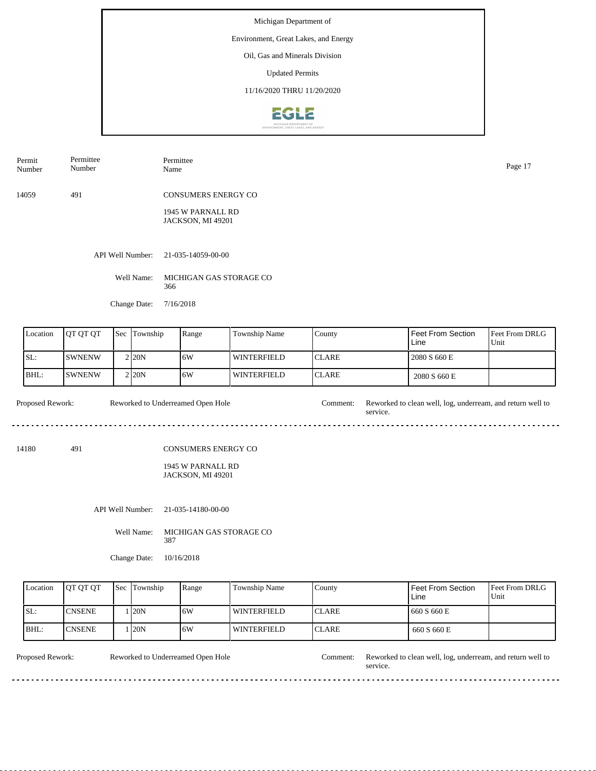## Environment, Great Lakes, and Energy

Oil, Gas and Minerals Division

Updated Permits

11/16/2020 THRU 11/20/2020



| Permit<br>Number | Permittee<br>Number | Permittee<br>Name                      | Page 17 |
|------------------|---------------------|----------------------------------------|---------|
| 14059            | 491                 | <b>CONSUMERS ENERGY CO</b>             |         |
|                  |                     | 1945 W PARNALL RD<br>JACKSON, MI 49201 |         |
|                  | API Well Number:    | 21-035-14059-00-00                     |         |
|                  | Well Name:          | MICHIGAN GAS STORAGE CO                |         |

Change Date: 7/16/2018

366

| Location | IOT OT OT      | 'Sec | Township           | Range | <b>Township Name</b> | County        | l Feet From Section<br>Line | <b>Feet From DRLG</b><br>Unit |
|----------|----------------|------|--------------------|-------|----------------------|---------------|-----------------------------|-------------------------------|
| SL:      | <b>ISWNENW</b> |      | 2120N              | 16W   | WINTERFIELD          | <b>ICLARE</b> | 2080 S 660 E                |                               |
| BHL:     | <b>ISWNENW</b> |      | 2 <sub>120</sub> N | 16W   | WINTERFIELD          | <b>ICLARE</b> | 2080 S 660 E                |                               |

Proposed Rework: Reworked to Underreamed Open Hole Comment: Reworked to clean well, log, underream, and return well to service. Reworked to Underreamed Open Hole

14180 491

#### CONSUMERS ENERGY CO

1945 W PARNALL RD JACKSON, MI 49201

API Well Number: 21-035-14180-00-00

Well Name: MICHIGAN GAS STORAGE CO 387

Change Date: 10/16/2018

| Location | <b>IOT OT OT</b> | <b>Sec Township</b> | Range | Township Name      | County        | Feet From Section<br>Line | <b>Feet From DRLG</b><br>Unit |
|----------|------------------|---------------------|-------|--------------------|---------------|---------------------------|-------------------------------|
| ISL:     | <b>CNSENE</b>    | 120N                | 16W   | <b>WINTERFIELD</b> | <b>ICLARE</b> | 660 S 660 E               |                               |
| BHL:     | <b>ICNSENE</b>   | 120N                | ا 6W  | l winterfield      | <b>ICLARE</b> | 660 S 660 E               |                               |

 $\ddotsc$  $\frac{1}{2}$ 

Reworked to Underreamed Open Hole

dia a a a a

Proposed Rework: Reworked to Underreamed Open Hole Comment: Reworked to clean well, log, underream, and return well to service.

 $\overline{a}$  .  $\overline{a}$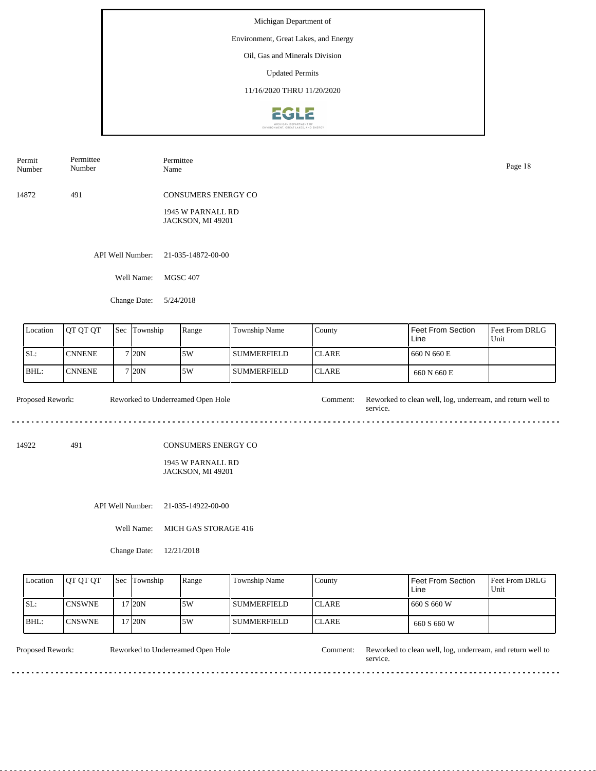## Environment, Great Lakes, and Energy

Oil, Gas and Minerals Division

Updated Permits

11/16/2020 THRU 11/20/2020



| Permittee<br>Permit<br>Number<br>Number |            | Permittee<br>Name                      |  |  |  |
|-----------------------------------------|------------|----------------------------------------|--|--|--|
| 14872                                   | 491        | <b>CONSUMERS ENERGY CO</b>             |  |  |  |
|                                         |            | 1945 W PARNALL RD<br>JACKSON, MI 49201 |  |  |  |
|                                         |            | API Well Number: 21-035-14872-00-00    |  |  |  |
|                                         | Well Name: | <b>MGSC 407</b>                        |  |  |  |

Change Date: 5/24/2018

| Location | <b>IOT OT OT</b> | <b>Sec</b> Township | Range | <b>Township Name</b> | County        | Feet From Section<br>Line | <b>Feet From DRLG</b><br>Unit |
|----------|------------------|---------------------|-------|----------------------|---------------|---------------------------|-------------------------------|
| SL:      | <b>CNNENE</b>    | 7120N               | 5W    | <b>SUMMERFIELD</b>   | <b>ICLARE</b> | 660 N 660 E               |                               |
| BHL:     | <b>CNNENE</b>    | 7120N               | 5W    | <b>I SUMMERFIELD</b> | <b>ICLARE</b> | 660 N 660 E               |                               |

Proposed Rework: Reworked to Underreamed Open Hole Comment: Reworked to clean well, log, underream, and return well to Reworked to Underreamed Open Hole service. 

14922 491

CONSUMERS ENERGY CO

1945 W PARNALL RD JACKSON, MI 49201

API Well Number: 21-035-14922-00-00

Well Name: MICH GAS STORAGE 416

Change Date: 12/21/2018

| Location | <b>IOT OT OT</b> | <b>Sec</b> Township | Range | Township Name      | County        | Feet From Section<br>Line | <b>IFeet From DRLG</b><br>Unit |
|----------|------------------|---------------------|-------|--------------------|---------------|---------------------------|--------------------------------|
| ISL:     | <b>ICNSWNE</b>   | 17 20N              | .5W   | I SUMMERFIELD      | <b>ICLARE</b> | 1660 S 660 W              |                                |
| IBHL:    | <b>ICNSWNE</b>   | '7120N              | .5W   | <b>SUMMERFIELD</b> | <b>ICLARE</b> | 660 S 660 W               |                                |

<u>. . . . . . . . .</u>

Reworked to Underreamed Open Hole

Proposed Rework: Reworked to Underreamed Open Hole Comment: Reworked to clean well, log, underream, and return well to service.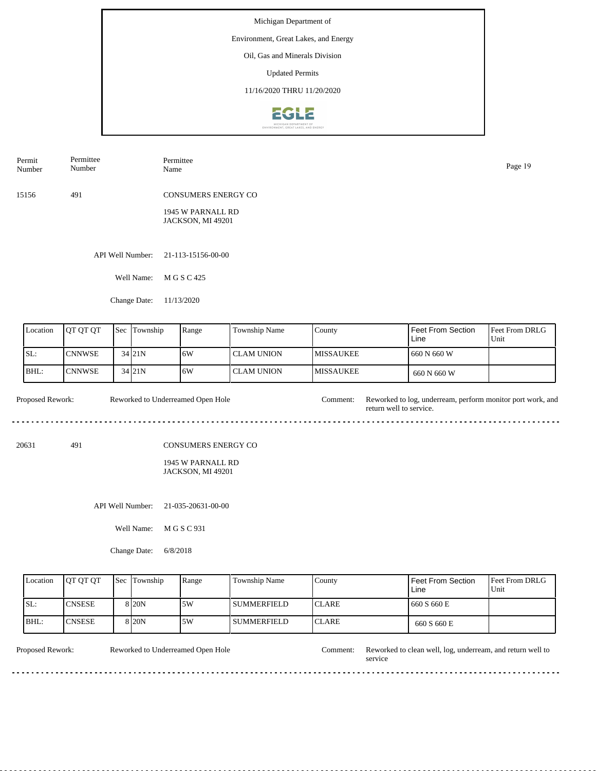## Environment, Great Lakes, and Energy

Oil, Gas and Minerals Division

Updated Permits

11/16/2020 THRU 11/20/2020



| Permit<br>Number | Permittee<br>Number | Permittee<br>Name                      | Page 19 |
|------------------|---------------------|----------------------------------------|---------|
| 15156            | 491                 | <b>CONSUMERS ENERGY CO</b>             |         |
|                  |                     | 1945 W PARNALL RD<br>JACKSON, MI 49201 |         |
|                  |                     | API Well Number: 21-113-15156-00-00    |         |
|                  | Well Name:          | M G S C 425                            |         |

Change Date: 11/13/2020

| Location | <b>OT OT OT</b> | <b>Sec Township</b> | Range | <b>Township Name</b> | County            | Feet From Section<br>Line | <b>Feet From DRLG</b><br>Unit |
|----------|-----------------|---------------------|-------|----------------------|-------------------|---------------------------|-------------------------------|
| ISL:     | <b>CNNWSE</b>   | $34$ $21N$          | 16W   | I CLAM UNION-        | <b>IMISSAUKEE</b> | 660 N 660 W               |                               |
| BHL:     | <b>CNNWSE</b>   | $34$ $21N$          | 16W   | I CLAM UNION-        | <b>IMISSAUKEE</b> | 660 N 660 W               |                               |

Proposed Rework: Reworked to Underreamed Open Hole Comment: Reworked to log, underream, perform monitor port work, and Reworked to Underreamed Open Hole return well to service. 

20631 491

CONSUMERS ENERGY CO

#### 1945 W PARNALL RD JACKSON, MI 49201

API Well Number: 21-035-20631-00-00

Well Name: M G S C 931

Change Date: 6/8/2018

| Location | <b>IOT OT OT</b> | <b>Sec</b> Township | Range | Township Name      | County        | Feet From Section<br>Line | <b>Feet From DRLG</b><br>Unit |
|----------|------------------|---------------------|-------|--------------------|---------------|---------------------------|-------------------------------|
| ISL:     | <b>ICNSESE</b>   | 8 <sub>20</sub> N   | 15W   | l summerfield      | <b>ICLARE</b> | 660 S 660 E               |                               |
| BHL:     | <b>ICNSESE</b>   | 8 <sub>20</sub> N   | 15W   | <b>SUMMERFIELD</b> | <b>ICLARE</b> | 660 S 660 E               |                               |

<u>. . . . . . . . .</u>

Reworked to Underreamed Open Hole

Proposed Rework: Reworked to Underreamed Open Hole Comment: Reworked to clean well, log, underream, and return well to service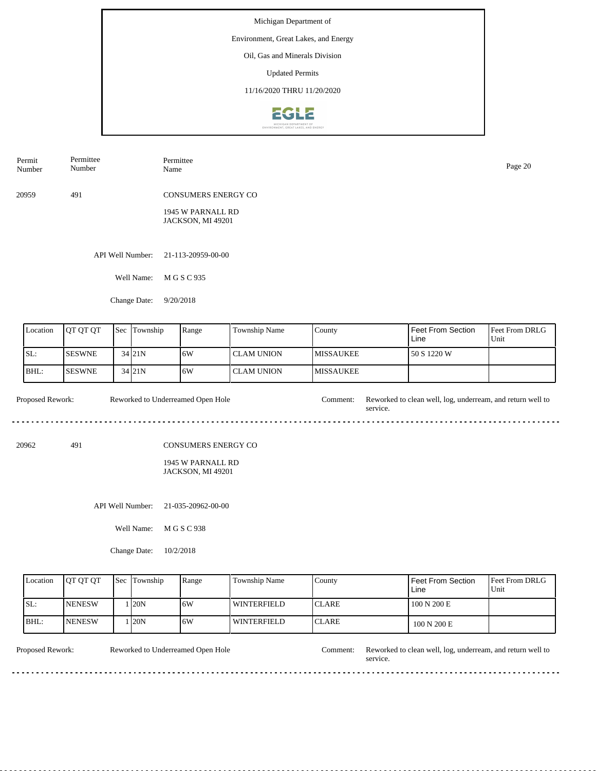## Environment, Great Lakes, and Energy

Oil, Gas and Minerals Division

Updated Permits

11/16/2020 THRU 11/20/2020



| Permit<br>Number | Permittee<br>Number | Permittee<br>Name                      | Page 20 |
|------------------|---------------------|----------------------------------------|---------|
| 20959            | 491                 | <b>CONSUMERS ENERGY CO</b>             |         |
|                  |                     | 1945 W PARNALL RD<br>JACKSON, MI 49201 |         |
|                  |                     | API Well Number: 21-113-20959-00-00    |         |
|                  | Well Name:          | M G S C 935                            |         |

Change Date: 9/20/2018

| Location | <b>IOT OT OT</b> | <b>Sec Township</b> | Range | <b>Township Name</b> | <b>County</b>     | Feet From Section<br>Line | Feet From DRLG<br>Unit |
|----------|------------------|---------------------|-------|----------------------|-------------------|---------------------------|------------------------|
| SL:      | <b>ISESWNE</b>   | 34 <sub>121</sub> N | 6W    | I CLAM UNION-        | <b>IMISSAUKEE</b> | 50 S 1220 W               |                        |
| BHL:     | <b>ISESWNE</b>   | $34$ <sub>21N</sub> | 16W   | I CLAM UNION-        | <b>IMISSAUKEE</b> |                           |                        |

Proposed Rework: Reworked to Underreamed Open Hole Comment: Reworked to clean well, log, underream, and return well to Reworked to Underreamed Open Hole service. 

20962 491

CONSUMERS ENERGY CO

#### 1945 W PARNALL RD JACKSON, MI 49201

API Well Number: 21-035-20962-00-00

Well Name: M G S C 938

Change Date: 10/2/2018

| Location | <b>OT OT OT</b> | <b>Sec</b> Township | Range | Township Name      | County        | Feet From Section<br>Line | <b>Feet From DRLG</b><br>Unit |
|----------|-----------------|---------------------|-------|--------------------|---------------|---------------------------|-------------------------------|
| ISL:     | <b>INENESW</b>  | 120N                | 16W   | <b>WINTERFIELD</b> | <b>ICLARE</b> | 100 N 200 E               |                               |
| BHL:     | <b>INENESW</b>  | 120 <sub>N</sub>    | 16W   | WINTERFIELD        | <b>ICLARE</b> | 100 N 200 E               |                               |

<u>. . . . . . . . .</u>

Reworked to Underreamed Open Hole

Proposed Rework: Reworked to Underreamed Open Hole Comment: Reworked to clean well, log, underream, and return well to service.

 $\sim$   $\sim$   $\sim$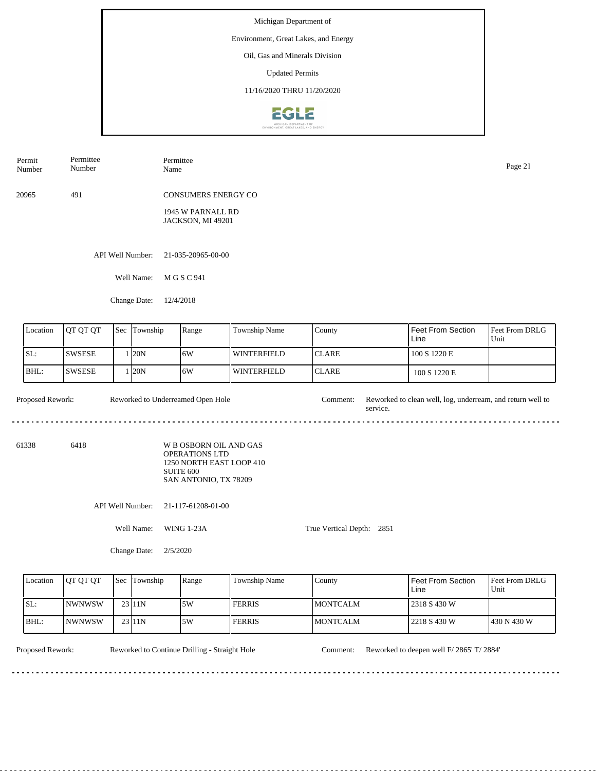#### Environment, Great Lakes, and Energy

Oil, Gas and Minerals Division

Updated Permits

11/16/2020 THRU 11/20/2020



| Permit<br>Number | Permittee<br>Number | Permittee<br>Name                      | Page 21 |
|------------------|---------------------|----------------------------------------|---------|
| 20965            | 491                 | <b>CONSUMERS ENERGY CO</b>             |         |
|                  |                     | 1945 W PARNALL RD<br>JACKSON, MI 49201 |         |
|                  |                     | API Well Number: 21-035-20965-00-00    |         |
|                  | Well Name:          | M G S C 941                            |         |

Change Date: 12/4/2018

| Location | <b>IOT OT OT</b> | <b>Sec Township</b> | Range | <b>Township Name</b> | County        | Feet From Section<br>Line | Feet From DRLG<br>Unit |
|----------|------------------|---------------------|-------|----------------------|---------------|---------------------------|------------------------|
| SL:      | <b>SWSESE</b>    | 120N                | 16W   | WINTERFIELD          | <b>ICLARE</b> | 100 S 1220 E              |                        |
| BHL:     | <b>SWSESE</b>    | 120N                | 16W   | <b>WINTERFIELD</b>   | <b>CLARE</b>  | 100 S 1220 E              |                        |

Proposed Rework: Reworked to Underreamed Open Hole Comment: Reworked to clean well, log, underream, and return well to Reworked to Underreamed Open Hole service. 

61338 6418

W B OSBORN OIL AND GAS OPERATIONS LTD 1250 NORTH EAST LOOP 410 SUITE 600 SAN ANTONIO, TX 78209

API Well Number: 21-117-61208-01-00

Well Name: WING 1-23A

Change Date: 2/5/2020

Feet From DRLG Unit 430 N 430 W 2318 S 430 W 2218 S 430 W Feet From Section Line County MONTCALM MONTCALM Location  $QT QT T$  Sec Township Range Township Name SL: BHL: NWNWSW NWNWSW Sec Township 23 11N 23 11N 5W 5W FERRIS FERRIS

True Vertical Depth: 2851

Proposed Rework: Reworked to Continue Drilling - Straight Hole Comment: Reworked to deepen well F/ 2865' T/ 2884'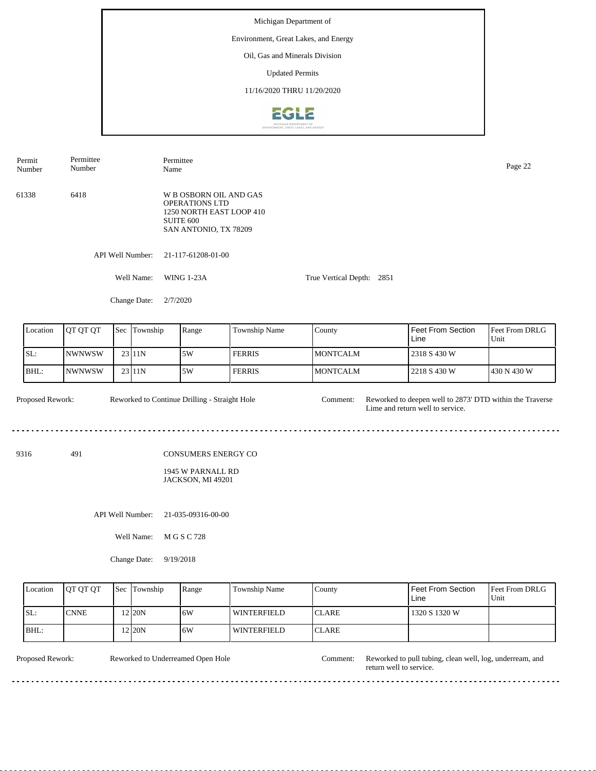Michigan Department of Environment, Great Lakes, and Energy Oil, Gas and Minerals Division Updated Permits 11/16/2020 THRU 11/20/2020EGLE

| Permit<br>Number         | Permittee<br>Number                    |     | Page 22          |                                                                                                                   |               |                           |                                                                                              |                        |  |  |
|--------------------------|----------------------------------------|-----|------------------|-------------------------------------------------------------------------------------------------------------------|---------------|---------------------------|----------------------------------------------------------------------------------------------|------------------------|--|--|
| 61338                    | 6418                                   |     |                  | W B OSBORN OIL AND GAS<br>OPERATIONS LTD<br>1250 NORTH EAST LOOP 410<br><b>SUITE 600</b><br>SAN ANTONIO, TX 78209 |               |                           |                                                                                              |                        |  |  |
|                          |                                        |     | API Well Number: | 21-117-61208-01-00                                                                                                |               |                           |                                                                                              |                        |  |  |
|                          |                                        |     | Well Name:       | <b>WING 1-23A</b>                                                                                                 |               | True Vertical Depth: 2851 |                                                                                              |                        |  |  |
|                          |                                        |     | Change Date:     | 2/7/2020                                                                                                          |               |                           |                                                                                              |                        |  |  |
| Location                 | QT QT QT                               |     | Sec Township     | Range                                                                                                             | Township Name | County                    | Feet From Section<br>Line                                                                    | Feet From DRLG<br>Unit |  |  |
| SL:                      | <b>NWNWSW</b>                          |     | 23 11N           | 5W                                                                                                                | <b>FERRIS</b> | <b>MONTCALM</b>           | 2318 S 430 W                                                                                 |                        |  |  |
| BHL:                     | <b>NWNWSW</b>                          |     | 23 11N           | 5W                                                                                                                | <b>FERRIS</b> | <b>MONTCALM</b>           | 2218 S 430 W                                                                                 | 430 N 430 W            |  |  |
| Proposed Rework:<br>9316 | 491                                    |     |                  | Reworked to Continue Drilling - Straight Hole<br>CONSUMERS ENERGY CO<br>1945 W PARNALL RD                         |               | Comment:                  | Reworked to deepen well to 2873' DTD within the Traverse<br>Lime and return well to service. |                        |  |  |
|                          |                                        |     |                  | JACKSON, MI 49201                                                                                                 |               |                           |                                                                                              |                        |  |  |
|                          | API Well Number:<br>21-035-09316-00-00 |     |                  |                                                                                                                   |               |                           |                                                                                              |                        |  |  |
|                          |                                        |     | Well Name:       | M G S C 728                                                                                                       |               |                           |                                                                                              |                        |  |  |
|                          |                                        |     | Change Date:     | 9/19/2018                                                                                                         |               |                           |                                                                                              |                        |  |  |
| Location                 | QT QT QT                               | Sec | Township         | Range                                                                                                             | Township Name | County                    | Feet From Section<br>Line                                                                    | Feet From DRLG<br>Unit |  |  |

| Location | <b>IOT OT OT</b> | <b>Sec Township</b> | Range | l Township Name | County        | l Feet From Section.<br>Line | <b>Feet From DRLG</b><br>Unit |
|----------|------------------|---------------------|-------|-----------------|---------------|------------------------------|-------------------------------|
| SL:      | <b>CNNE</b>      | 2120N               | 16W   | l winterfield   | <b>ICLARE</b> | 1320 S 1320 W                |                               |
| BHL:     |                  | 2 20N               | 16W   | l winterfield   | <b>ICLARE</b> |                              |                               |

Reworked to Underreamed Open Hole Comment:

Proposed Rework: Reworked to Underreamed Open Hole Comment: Reworked to pull tubing, clean well, log, underream, and return well to service.

 $\sim$ 

 $\frac{1}{2}$  .  $\frac{1}{2}$